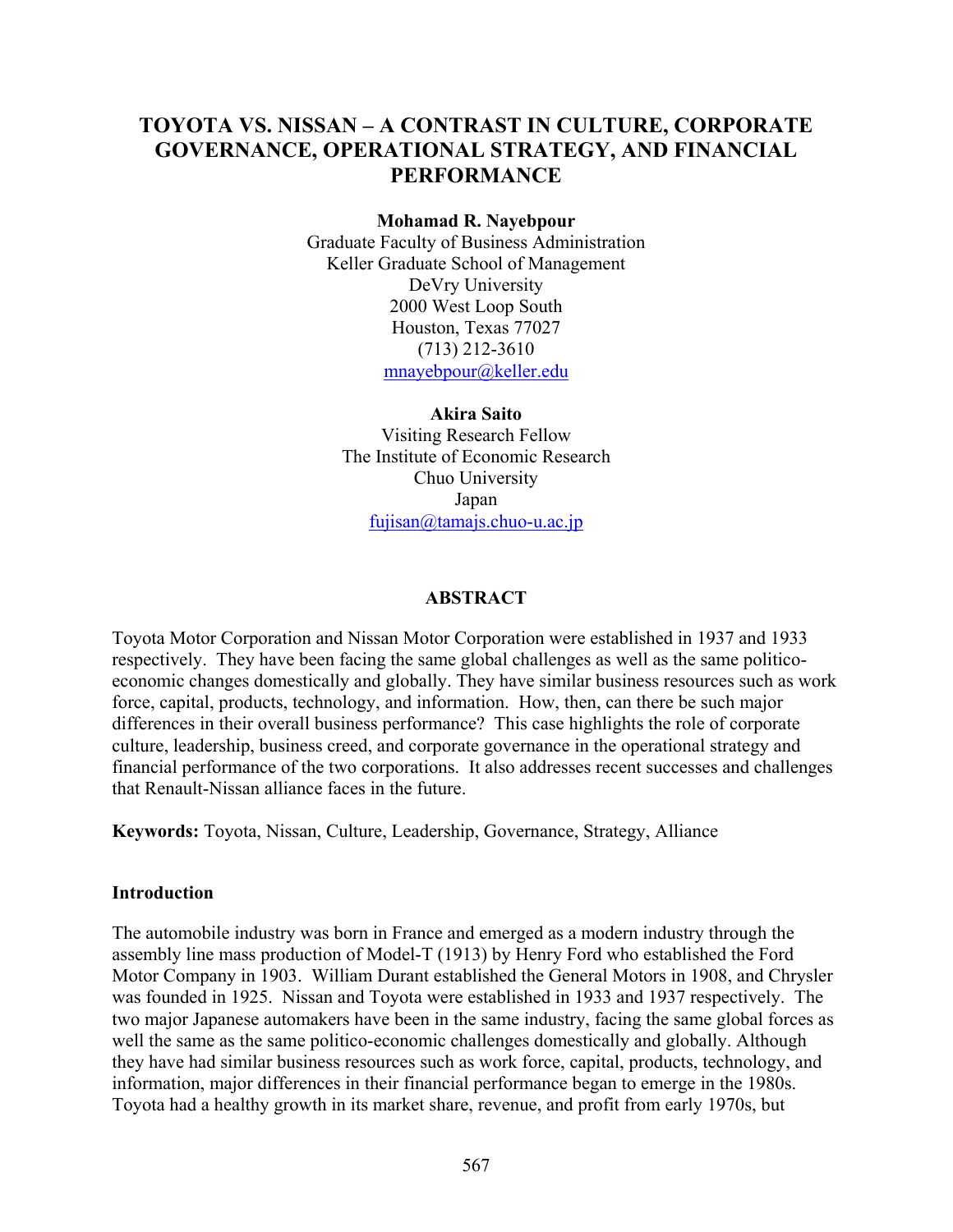# **TOYOTA VS. NISSAN – A CONTRAST IN CULTURE, CORPORATE GOVERNANCE, OPERATIONAL STRATEGY, AND FINANCIAL PERFORMANCE**

#### **Mohamad R. Nayebpour**

Graduate Faculty of Business Administration Keller Graduate School of Management DeVry University 2000 West Loop South Houston, Texas 77027 (713) 212-3610  $m$ nayebpour@keller.edu

**Akira Saito**  Visiting Research Fellow The Institute of Economic Research Chuo University Japan  $fujisan@tamajs.chuo-u.ac.jp$ 

#### **ABSTRACT**

Toyota Motor Corporation and Nissan Motor Corporation were established in 1937 and 1933 respectively. They have been facing the same global challenges as well as the same politicoeconomic changes domestically and globally. They have similar business resources such as work force, capital, products, technology, and information. How, then, can there be such major differences in their overall business performance? This case highlights the role of corporate culture, leadership, business creed, and corporate governance in the operational strategy and financial performance of the two corporations. It also addresses recent successes and challenges that Renault-Nissan alliance faces in the future.

**Keywords:** Toyota, Nissan, Culture, Leadership, Governance, Strategy, Alliance

#### **Introduction**

The automobile industry was born in France and emerged as a modern industry through the assembly line mass production of Model-T (1913) by Henry Ford who established the Ford Motor Company in 1903. William Durant established the General Motors in 1908, and Chrysler was founded in 1925. Nissan and Toyota were established in 1933 and 1937 respectively. The two major Japanese automakers have been in the same industry, facing the same global forces as well the same as the same politico-economic challenges domestically and globally. Although they have had similar business resources such as work force, capital, products, technology, and information, major differences in their financial performance began to emerge in the 1980s. Toyota had a healthy growth in its market share, revenue, and profit from early 1970s, but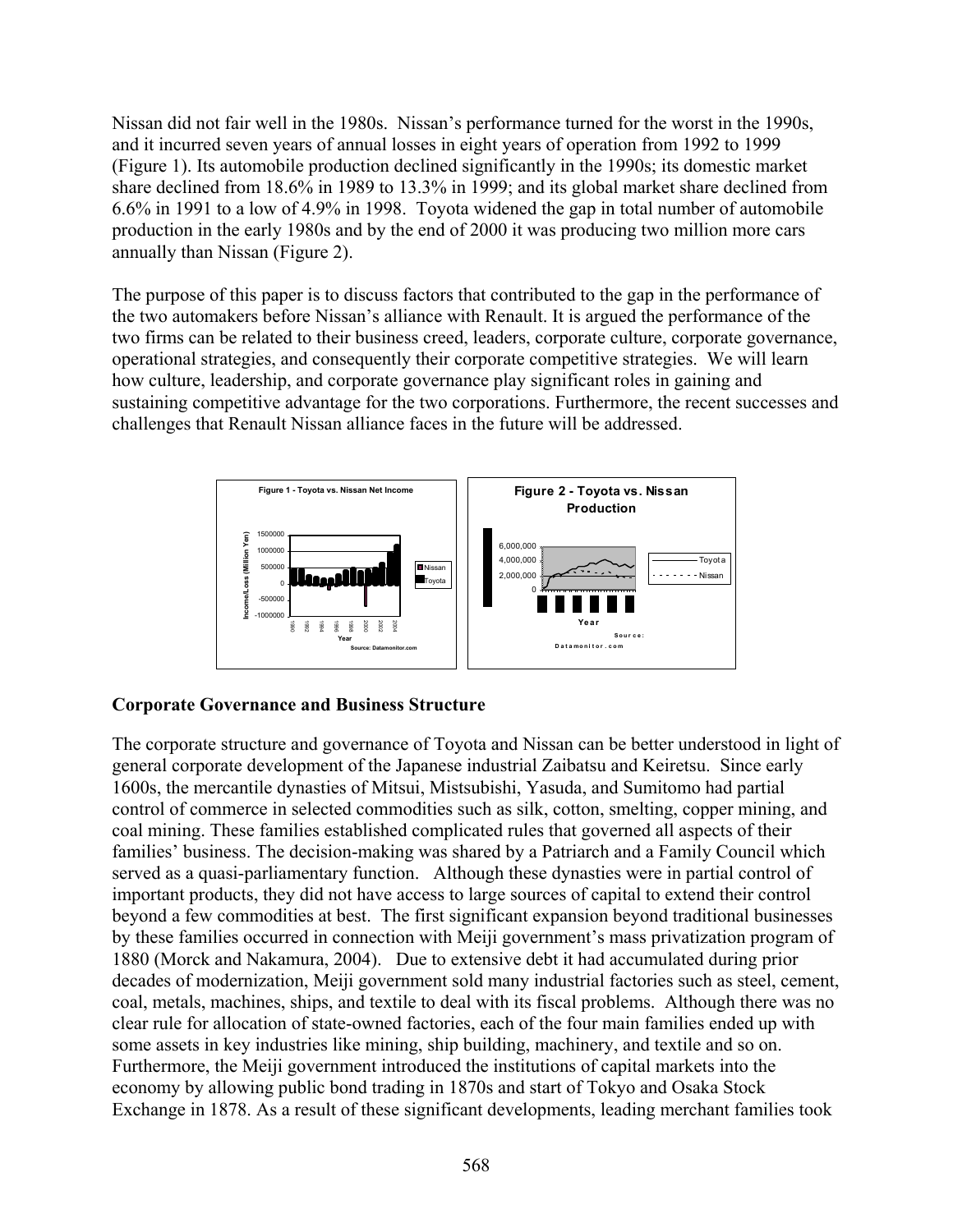Nissan did not fair well in the 1980s. Nissan's performance turned for the worst in the 1990s, and it incurred seven years of annual losses in eight years of operation from 1992 to 1999 (Figure 1). Its automobile production declined significantly in the 1990s; its domestic market share declined from 18.6% in 1989 to 13.3% in 1999; and its global market share declined from 6.6% in 1991 to a low of 4.9% in 1998. Toyota widened the gap in total number of automobile production in the early 1980s and by the end of 2000 it was producing two million more cars annually than Nissan (Figure 2).

The purpose of this paper is to discuss factors that contributed to the gap in the performance of the two automakers before Nissan's alliance with Renault. It is argued the performance of the two firms can be related to their business creed, leaders, corporate culture, corporate governance, operational strategies, and consequently their corporate competitive strategies. We will learn how culture, leadership, and corporate governance play significant roles in gaining and sustaining competitive advantage for the two corporations. Furthermore, the recent successes and challenges that Renault Nissan alliance faces in the future will be addressed.



### **Corporate Governance and Business Structure**

The corporate structure and governance of Toyota and Nissan can be better understood in light of general corporate development of the Japanese industrial Zaibatsu and Keiretsu. Since early 1600s, the mercantile dynasties of Mitsui, Mistsubishi, Yasuda, and Sumitomo had partial control of commerce in selected commodities such as silk, cotton, smelting, copper mining, and coal mining. These families established complicated rules that governed all aspects of their families' business. The decision-making was shared by a Patriarch and a Family Council which served as a quasi-parliamentary function. Although these dynasties were in partial control of important products, they did not have access to large sources of capital to extend their control beyond a few commodities at best. The first significant expansion beyond traditional businesses by these families occurred in connection with Meiji government's mass privatization program of 1880 (Morck and Nakamura, 2004). Due to extensive debt it had accumulated during prior decades of modernization, Meiji government sold many industrial factories such as steel, cement, coal, metals, machines, ships, and textile to deal with its fiscal problems. Although there was no clear rule for allocation of state-owned factories, each of the four main families ended up with some assets in key industries like mining, ship building, machinery, and textile and so on. Furthermore, the Meiji government introduced the institutions of capital markets into the economy by allowing public bond trading in 1870s and start of Tokyo and Osaka Stock Exchange in 1878. As a result of these significant developments, leading merchant families took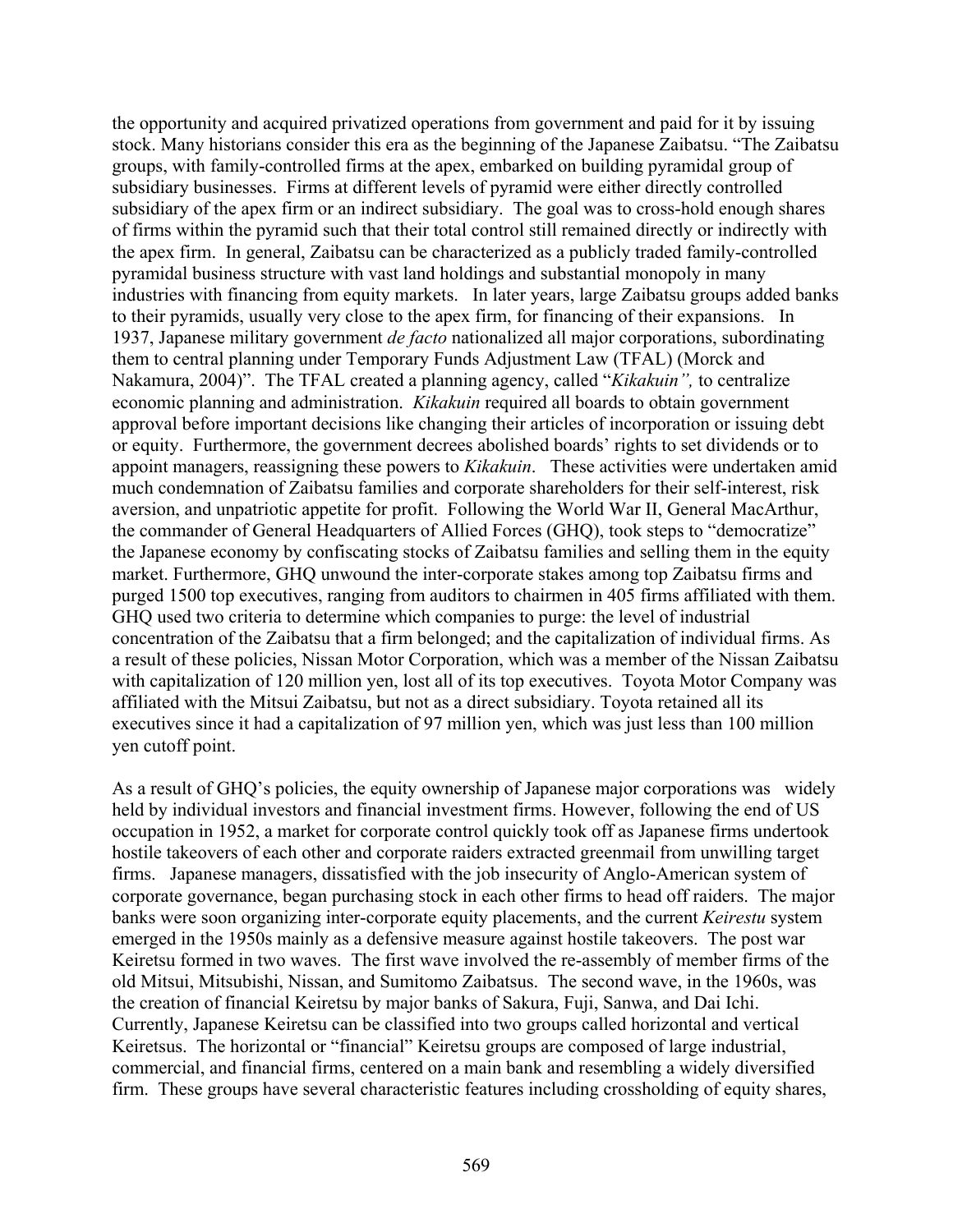the opportunity and acquired privatized operations from government and paid for it by issuing stock. Many historians consider this era as the beginning of the Japanese Zaibatsu. "The Zaibatsu groups, with family-controlled firms at the apex, embarked on building pyramidal group of subsidiary businesses. Firms at different levels of pyramid were either directly controlled subsidiary of the apex firm or an indirect subsidiary. The goal was to cross-hold enough shares of firms within the pyramid such that their total control still remained directly or indirectly with the apex firm. In general, Zaibatsu can be characterized as a publicly traded family-controlled pyramidal business structure with vast land holdings and substantial monopoly in many industries with financing from equity markets. In later years, large Zaibatsu groups added banks to their pyramids, usually very close to the apex firm, for financing of their expansions. In 1937, Japanese military government *de facto* nationalized all major corporations, subordinating them to central planning under Temporary Funds Adjustment Law (TFAL) (Morck and Nakamura, 2004)". The TFAL created a planning agency, called "*Kikakuin",* to centralize economic planning and administration. *Kikakuin* required all boards to obtain government approval before important decisions like changing their articles of incorporation or issuing debt or equity. Furthermore, the government decrees abolished boards' rights to set dividends or to appoint managers, reassigning these powers to *Kikakuin*. These activities were undertaken amid much condemnation of Zaibatsu families and corporate shareholders for their self-interest, risk aversion, and unpatriotic appetite for profit. Following the World War II, General MacArthur, the commander of General Headquarters of Allied Forces (GHQ), took steps to "democratize" the Japanese economy by confiscating stocks of Zaibatsu families and selling them in the equity market. Furthermore, GHQ unwound the inter-corporate stakes among top Zaibatsu firms and purged 1500 top executives, ranging from auditors to chairmen in 405 firms affiliated with them. GHQ used two criteria to determine which companies to purge: the level of industrial concentration of the Zaibatsu that a firm belonged; and the capitalization of individual firms. As a result of these policies, Nissan Motor Corporation, which was a member of the Nissan Zaibatsu with capitalization of 120 million yen, lost all of its top executives. Toyota Motor Company was affiliated with the Mitsui Zaibatsu, but not as a direct subsidiary. Toyota retained all its executives since it had a capitalization of 97 million yen, which was just less than 100 million yen cutoff point.

As a result of GHO's policies, the equity ownership of Japanese major corporations was widely held by individual investors and financial investment firms. However, following the end of US occupation in 1952, a market for corporate control quickly took off as Japanese firms undertook hostile takeovers of each other and corporate raiders extracted greenmail from unwilling target firms. Japanese managers, dissatisfied with the job insecurity of Anglo-American system of corporate governance, began purchasing stock in each other firms to head off raiders. The major banks were soon organizing inter-corporate equity placements, and the current *Keirestu* system emerged in the 1950s mainly as a defensive measure against hostile takeovers. The post war Keiretsu formed in two waves. The first wave involved the re-assembly of member firms of the old Mitsui, Mitsubishi, Nissan, and Sumitomo Zaibatsus. The second wave, in the 1960s, was the creation of financial Keiretsu by major banks of Sakura, Fuji, Sanwa, and Dai Ichi. Currently, Japanese Keiretsu can be classified into two groups called horizontal and vertical Keiretsus. The horizontal or "financial" Keiretsu groups are composed of large industrial, commercial, and financial firms, centered on a main bank and resembling a widely diversified firm. These groups have several characteristic features including crossholding of equity shares,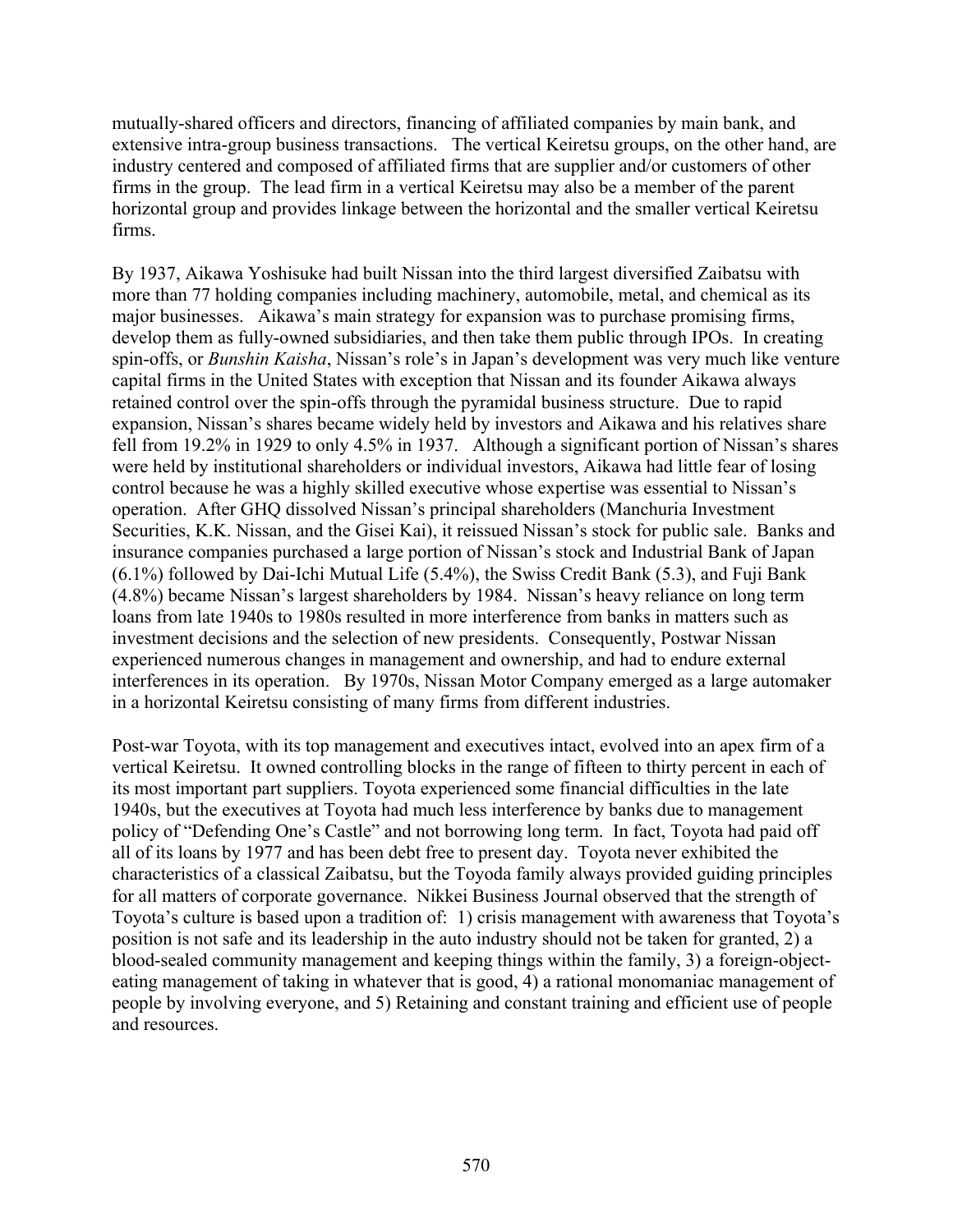mutually-shared officers and directors, financing of affiliated companies by main bank, and extensive intra-group business transactions. The vertical Keiretsu groups, on the other hand, are industry centered and composed of affiliated firms that are supplier and/or customers of other firms in the group. The lead firm in a vertical Keiretsu may also be a member of the parent horizontal group and provides linkage between the horizontal and the smaller vertical Keiretsu firms.

By 1937, Aikawa Yoshisuke had built Nissan into the third largest diversified Zaibatsu with more than 77 holding companies including machinery, automobile, metal, and chemical as its major businesses. Aikawa's main strategy for expansion was to purchase promising firms, develop them as fully-owned subsidiaries, and then take them public through IPOs. In creating spin-offs, or *Bunshin Kaisha*, Nissan's role's in Japan's development was very much like venture capital firms in the United States with exception that Nissan and its founder Aikawa always retained control over the spin-offs through the pyramidal business structure. Due to rapid expansion, Nissan's shares became widely held by investors and Aikawa and his relatives share fell from 19.2% in 1929 to only 4.5% in 1937. Although a significant portion of Nissan's shares were held by institutional shareholders or individual investors, Aikawa had little fear of losing control because he was a highly skilled executive whose expertise was essential to Nissan's operation. After GHQ dissolved Nissan's principal shareholders (Manchuria Investment Securities, K.K. Nissan, and the Gisei Kai), it reissued Nissan's stock for public sale. Banks and insurance companies purchased a large portion of Nissan's stock and Industrial Bank of Japan (6.1%) followed by Dai-Ichi Mutual Life (5.4%), the Swiss Credit Bank (5.3), and Fuji Bank (4.8%) became Nissan's largest shareholders by 1984. Nissan's heavy reliance on long term loans from late 1940s to 1980s resulted in more interference from banks in matters such as investment decisions and the selection of new presidents. Consequently, Postwar Nissan experienced numerous changes in management and ownership, and had to endure external interferences in its operation. By 1970s, Nissan Motor Company emerged as a large automaker in a horizontal Keiretsu consisting of many firms from different industries.

Post-war Toyota, with its top management and executives intact, evolved into an apex firm of a vertical Keiretsu. It owned controlling blocks in the range of fifteen to thirty percent in each of its most important part suppliers. Toyota experienced some financial difficulties in the late 1940s, but the executives at Toyota had much less interference by banks due to management policy of "Defending One's Castle" and not borrowing long term. In fact, Toyota had paid off all of its loans by 1977 and has been debt free to present day. Toyota never exhibited the characteristics of a classical Zaibatsu, but the Toyoda family always provided guiding principles for all matters of corporate governance. Nikkei Business Journal observed that the strength of Toyota's culture is based upon a tradition of: 1) crisis management with awareness that Toyota's position is not safe and its leadership in the auto industry should not be taken for granted, 2) a blood-sealed community management and keeping things within the family, 3) a foreign-objecteating management of taking in whatever that is good, 4) a rational monomaniac management of people by involving everyone, and 5) Retaining and constant training and efficient use of people and resources.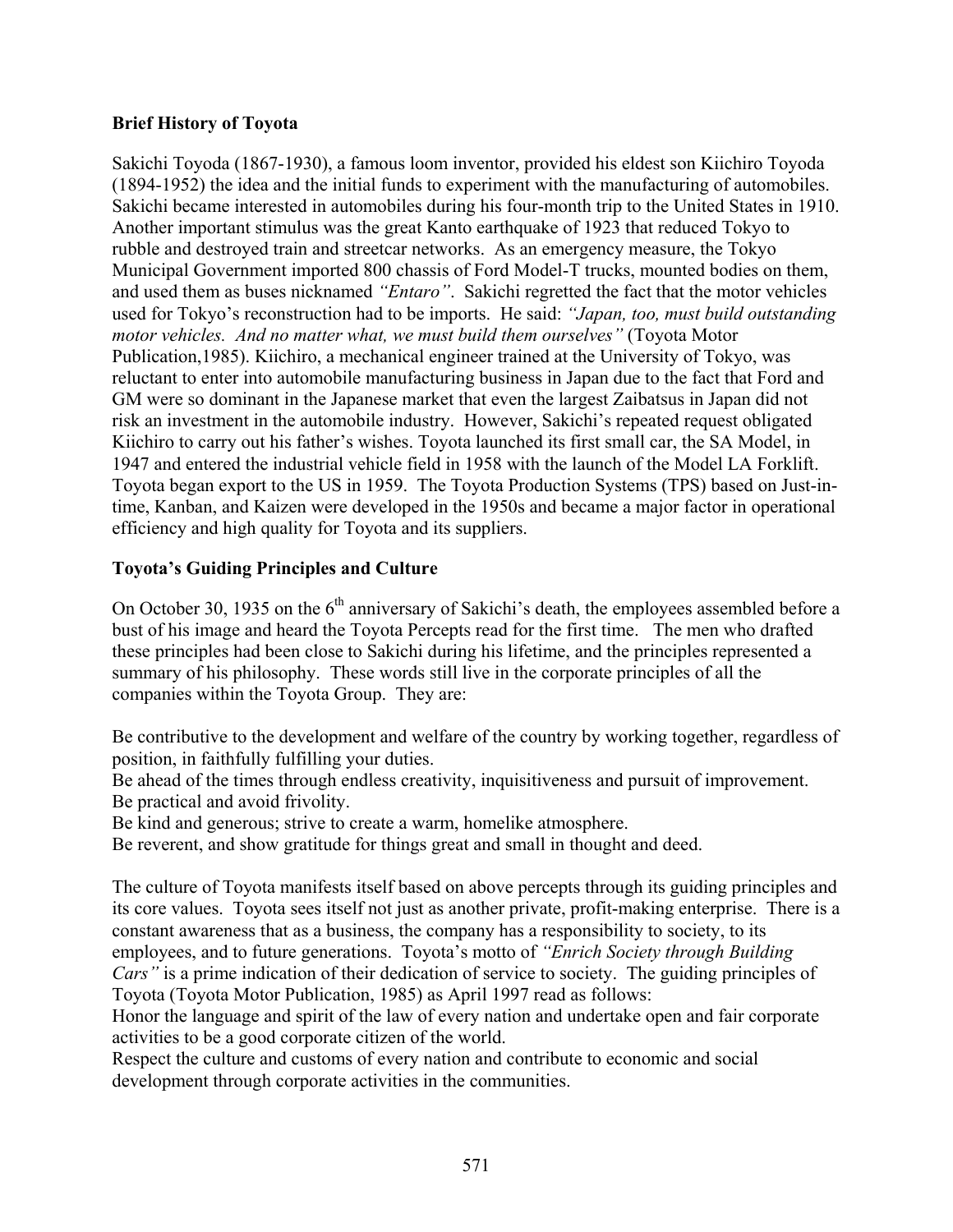# **Brief History of Toyota**

Sakichi Toyoda (1867-1930), a famous loom inventor, provided his eldest son Kiichiro Toyoda (1894-1952) the idea and the initial funds to experiment with the manufacturing of automobiles. Sakichi became interested in automobiles during his four-month trip to the United States in 1910. Another important stimulus was the great Kanto earthquake of 1923 that reduced Tokyo to rubble and destroyed train and streetcar networks. As an emergency measure, the Tokyo Municipal Government imported 800 chassis of Ford Model-T trucks, mounted bodies on them, and used them as buses nicknamed *"Entaro"*. Sakichi regretted the fact that the motor vehicles used for Tokyo's reconstruction had to be imports. He said: *"Japan, too, must build outstanding motor vehicles. And no matter what, we must build them ourselves"* (Toyota Motor Publication,1985). Kiichiro, a mechanical engineer trained at the University of Tokyo, was reluctant to enter into automobile manufacturing business in Japan due to the fact that Ford and GM were so dominant in the Japanese market that even the largest Zaibatsus in Japan did not risk an investment in the automobile industry. However, Sakichi's repeated request obligated Kiichiro to carry out his father's wishes. Toyota launched its first small car, the SA Model, in 1947 and entered the industrial vehicle field in 1958 with the launch of the Model LA Forklift. Toyota began export to the US in 1959. The Toyota Production Systems (TPS) based on Just-intime, Kanban, and Kaizen were developed in the 1950s and became a major factor in operational efficiency and high quality for Toyota and its suppliers.

# **Toyota's Guiding Principles and Culture**

On October 30, 1935 on the  $6<sup>th</sup>$  anniversary of Sakichi's death, the employees assembled before a bust of his image and heard the Toyota Percepts read for the first time. The men who drafted these principles had been close to Sakichi during his lifetime, and the principles represented a summary of his philosophy. These words still live in the corporate principles of all the companies within the Toyota Group. They are:

Be contributive to the development and welfare of the country by working together, regardless of position, in faithfully fulfilling your duties.

Be ahead of the times through endless creativity, inquisitiveness and pursuit of improvement. Be practical and avoid frivolity.

Be kind and generous; strive to create a warm, homelike atmosphere.

Be reverent, and show gratitude for things great and small in thought and deed.

The culture of Toyota manifests itself based on above percepts through its guiding principles and its core values. Toyota sees itself not just as another private, profit-making enterprise. There is a constant awareness that as a business, the company has a responsibility to society, to its employees, and to future generations. Toyota's motto of *"Enrich Society through Building Cars"* is a prime indication of their dedication of service to society. The guiding principles of Toyota (Toyota Motor Publication, 1985) as April 1997 read as follows:

Honor the language and spirit of the law of every nation and undertake open and fair corporate activities to be a good corporate citizen of the world.

Respect the culture and customs of every nation and contribute to economic and social development through corporate activities in the communities.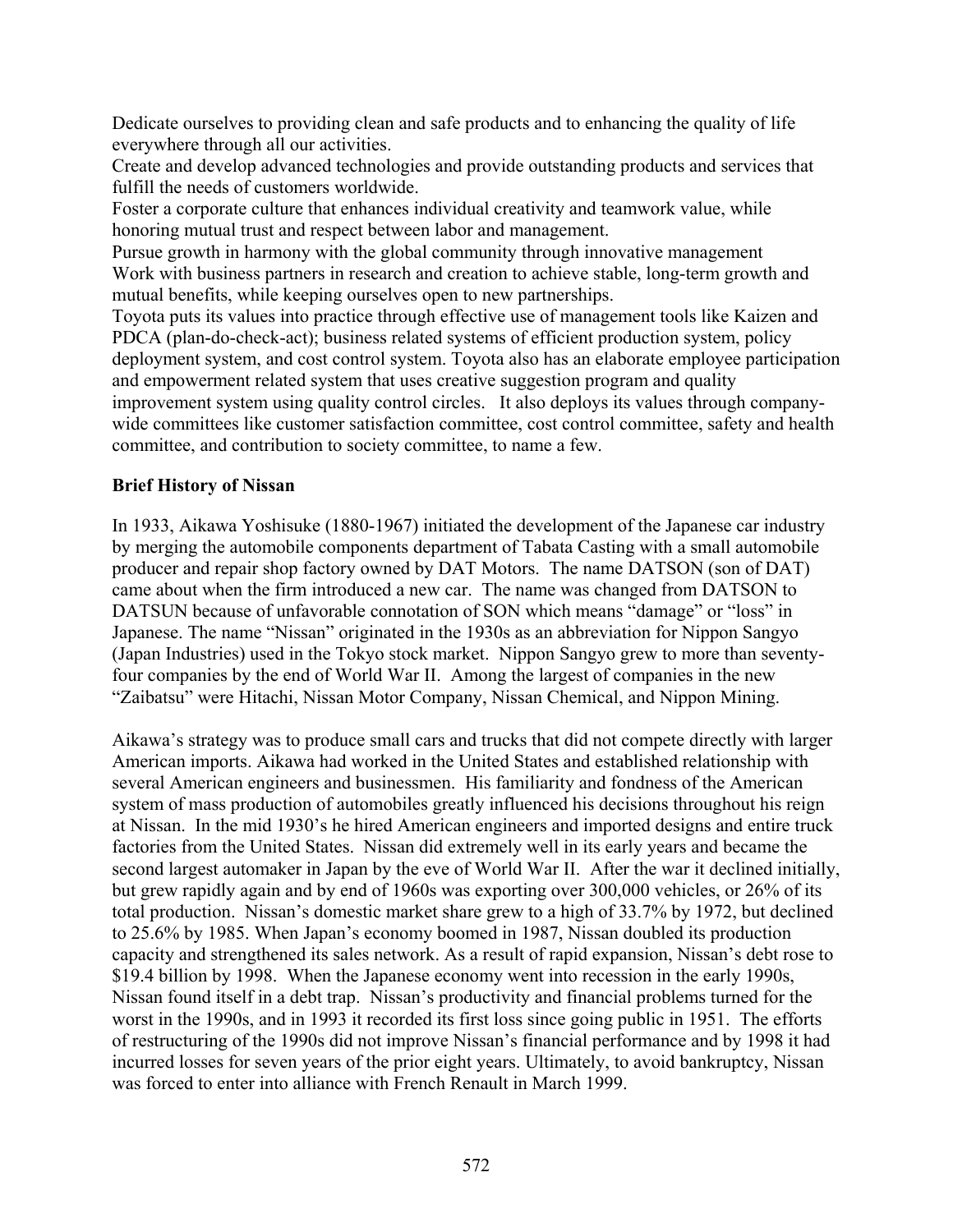Dedicate ourselves to providing clean and safe products and to enhancing the quality of life everywhere through all our activities.

Create and develop advanced technologies and provide outstanding products and services that fulfill the needs of customers worldwide.

Foster a corporate culture that enhances individual creativity and teamwork value, while honoring mutual trust and respect between labor and management.

Pursue growth in harmony with the global community through innovative management Work with business partners in research and creation to achieve stable, long-term growth and mutual benefits, while keeping ourselves open to new partnerships.

Toyota puts its values into practice through effective use of management tools like Kaizen and PDCA (plan-do-check-act); business related systems of efficient production system, policy deployment system, and cost control system. Toyota also has an elaborate employee participation and empowerment related system that uses creative suggestion program and quality improvement system using quality control circles. It also deploys its values through companywide committees like customer satisfaction committee, cost control committee, safety and health committee, and contribution to society committee, to name a few.

### **Brief History of Nissan**

In 1933, Aikawa Yoshisuke (1880-1967) initiated the development of the Japanese car industry by merging the automobile components department of Tabata Casting with a small automobile producer and repair shop factory owned by DAT Motors. The name DATSON (son of DAT) came about when the firm introduced a new car. The name was changed from DATSON to DATSUN because of unfavorable connotation of SON which means "damage" or "loss" in Japanese. The name "Nissan" originated in the 1930s as an abbreviation for Nippon Sangyo (Japan Industries) used in the Tokyo stock market. Nippon Sangyo grew to more than seventyfour companies by the end of World War II. Among the largest of companies in the new "Zaibatsu" were Hitachi, Nissan Motor Company, Nissan Chemical, and Nippon Mining.

Aikawa's strategy was to produce small cars and trucks that did not compete directly with larger American imports. Aikawa had worked in the United States and established relationship with several American engineers and businessmen. His familiarity and fondness of the American system of mass production of automobiles greatly influenced his decisions throughout his reign at Nissan. In the mid 1930's he hired American engineers and imported designs and entire truck factories from the United States. Nissan did extremely well in its early years and became the second largest automaker in Japan by the eve of World War II. After the war it declined initially, but grew rapidly again and by end of 1960s was exporting over 300,000 vehicles, or 26% of its total production. Nissan's domestic market share grew to a high of 33.7% by 1972, but declined to 25.6% by 1985. When Japan's economy boomed in 1987, Nissan doubled its production capacity and strengthened its sales network. As a result of rapid expansion, Nissan's debt rose to \$19.4 billion by 1998. When the Japanese economy went into recession in the early 1990s, Nissan found itself in a debt trap. Nissan's productivity and financial problems turned for the worst in the 1990s, and in 1993 it recorded its first loss since going public in 1951. The efforts of restructuring of the 1990s did not improve Nissan's financial performance and by 1998 it had incurred losses for seven years of the prior eight years. Ultimately, to avoid bankruptcy, Nissan was forced to enter into alliance with French Renault in March 1999.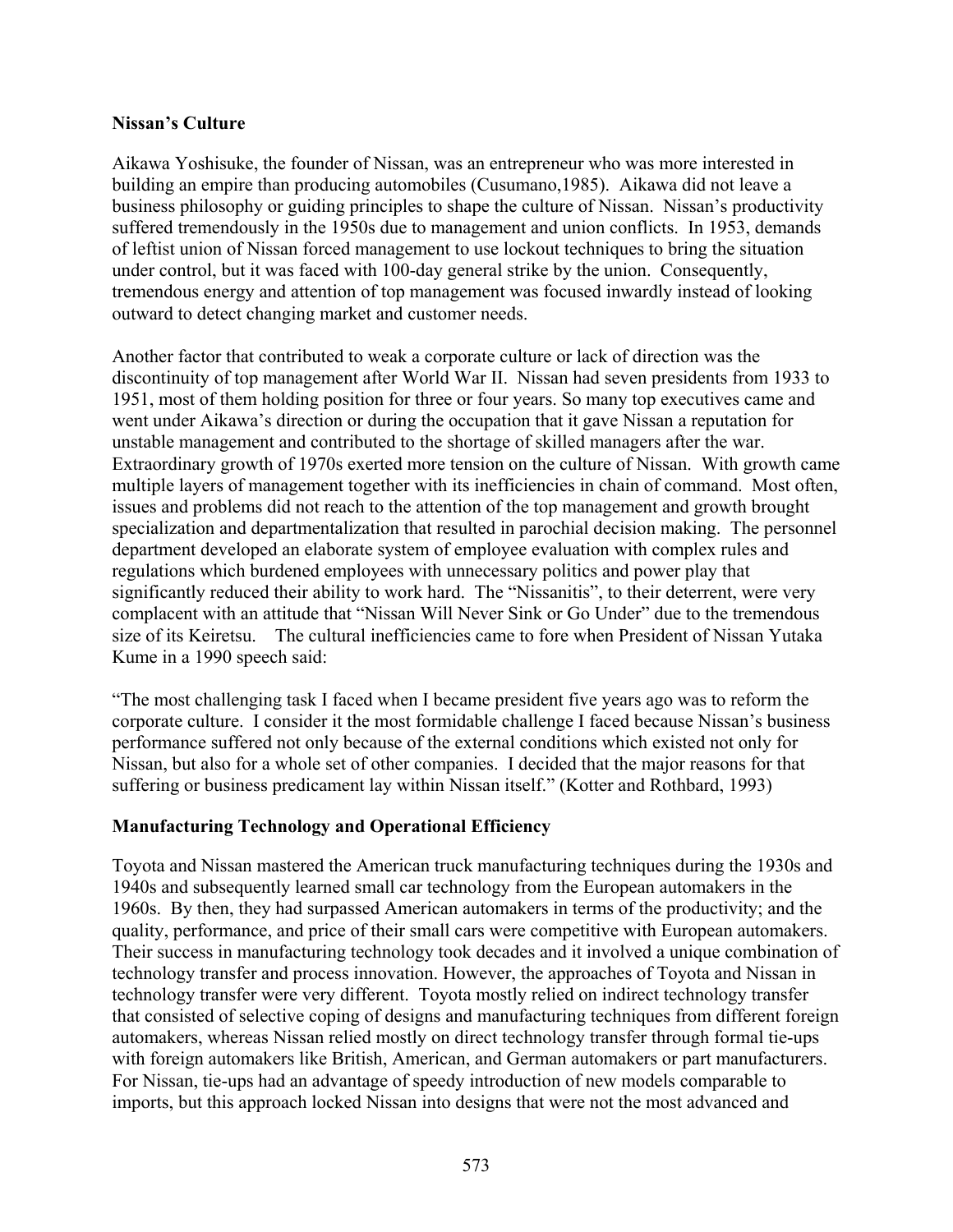#### **Nissan's Culture**

Aikawa Yoshisuke, the founder of Nissan, was an entrepreneur who was more interested in building an empire than producing automobiles (Cusumano,1985). Aikawa did not leave a business philosophy or guiding principles to shape the culture of Nissan. Nissan's productivity suffered tremendously in the 1950s due to management and union conflicts. In 1953, demands of leftist union of Nissan forced management to use lockout techniques to bring the situation under control, but it was faced with 100-day general strike by the union. Consequently, tremendous energy and attention of top management was focused inwardly instead of looking outward to detect changing market and customer needs.

Another factor that contributed to weak a corporate culture or lack of direction was the discontinuity of top management after World War II. Nissan had seven presidents from 1933 to 1951, most of them holding position for three or four years. So many top executives came and went under Aikawa's direction or during the occupation that it gave Nissan a reputation for unstable management and contributed to the shortage of skilled managers after the war. Extraordinary growth of 1970s exerted more tension on the culture of Nissan. With growth came multiple layers of management together with its inefficiencies in chain of command. Most often, issues and problems did not reach to the attention of the top management and growth brought specialization and departmentalization that resulted in parochial decision making. The personnel department developed an elaborate system of employee evaluation with complex rules and regulations which burdened employees with unnecessary politics and power play that significantly reduced their ability to work hard. The "Nissanitis", to their deterrent, were very complacent with an attitude that "Nissan Will Never Sink or Go Under" due to the tremendous size of its Keiretsu. The cultural inefficiencies came to fore when President of Nissan Yutaka Kume in a 1990 speech said:

"The most challenging task I faced when I became president five years ago was to reform the corporate culture. I consider it the most formidable challenge I faced because Nissan's business performance suffered not only because of the external conditions which existed not only for Nissan, but also for a whole set of other companies. I decided that the major reasons for that suffering or business predicament lay within Nissan itself." (Kotter and Rothbard, 1993)

### **Manufacturing Technology and Operational Efficiency**

Toyota and Nissan mastered the American truck manufacturing techniques during the 1930s and 1940s and subsequently learned small car technology from the European automakers in the 1960s. By then, they had surpassed American automakers in terms of the productivity; and the quality, performance, and price of their small cars were competitive with European automakers. Their success in manufacturing technology took decades and it involved a unique combination of technology transfer and process innovation. However, the approaches of Toyota and Nissan in technology transfer were very different. Toyota mostly relied on indirect technology transfer that consisted of selective coping of designs and manufacturing techniques from different foreign automakers, whereas Nissan relied mostly on direct technology transfer through formal tie-ups with foreign automakers like British, American, and German automakers or part manufacturers. For Nissan, tie-ups had an advantage of speedy introduction of new models comparable to imports, but this approach locked Nissan into designs that were not the most advanced and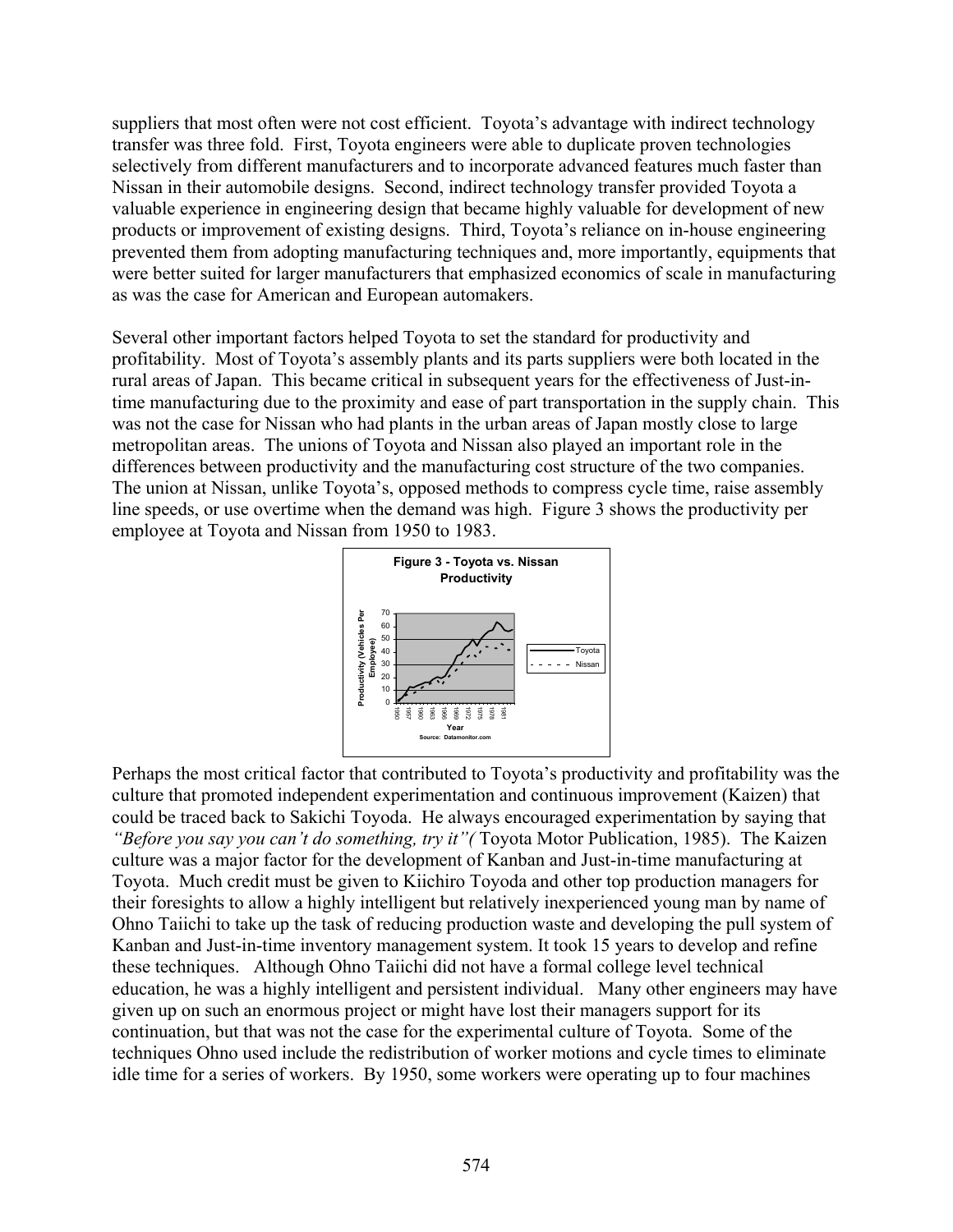suppliers that most often were not cost efficient. Toyota's advantage with indirect technology transfer was three fold. First, Toyota engineers were able to duplicate proven technologies selectively from different manufacturers and to incorporate advanced features much faster than Nissan in their automobile designs. Second, indirect technology transfer provided Toyota a valuable experience in engineering design that became highly valuable for development of new products or improvement of existing designs. Third, Toyota's reliance on in-house engineering prevented them from adopting manufacturing techniques and, more importantly, equipments that were better suited for larger manufacturers that emphasized economics of scale in manufacturing as was the case for American and European automakers.

Several other important factors helped Toyota to set the standard for productivity and profitability. Most of Toyota's assembly plants and its parts suppliers were both located in the rural areas of Japan. This became critical in subsequent years for the effectiveness of Just-intime manufacturing due to the proximity and ease of part transportation in the supply chain. This was not the case for Nissan who had plants in the urban areas of Japan mostly close to large metropolitan areas. The unions of Toyota and Nissan also played an important role in the differences between productivity and the manufacturing cost structure of the two companies. The union at Nissan, unlike Toyota's, opposed methods to compress cycle time, raise assembly line speeds, or use overtime when the demand was high. Figure 3 shows the productivity per employee at Toyota and Nissan from 1950 to 1983.



Perhaps the most critical factor that contributed to Toyota's productivity and profitability was the culture that promoted independent experimentation and continuous improvement (Kaizen) that could be traced back to Sakichi Toyoda. He always encouraged experimentation by saying that *"Before you say you can't do something, try it"(* Toyota Motor Publication, 1985). The Kaizen culture was a major factor for the development of Kanban and Just-in-time manufacturing at Toyota. Much credit must be given to Kiichiro Toyoda and other top production managers for their foresights to allow a highly intelligent but relatively inexperienced young man by name of Ohno Taiichi to take up the task of reducing production waste and developing the pull system of Kanban and Just-in-time inventory management system. It took 15 years to develop and refine these techniques. Although Ohno Taiichi did not have a formal college level technical education, he was a highly intelligent and persistent individual. Many other engineers may have given up on such an enormous project or might have lost their managers support for its continuation, but that was not the case for the experimental culture of Toyota. Some of the techniques Ohno used include the redistribution of worker motions and cycle times to eliminate idle time for a series of workers. By 1950, some workers were operating up to four machines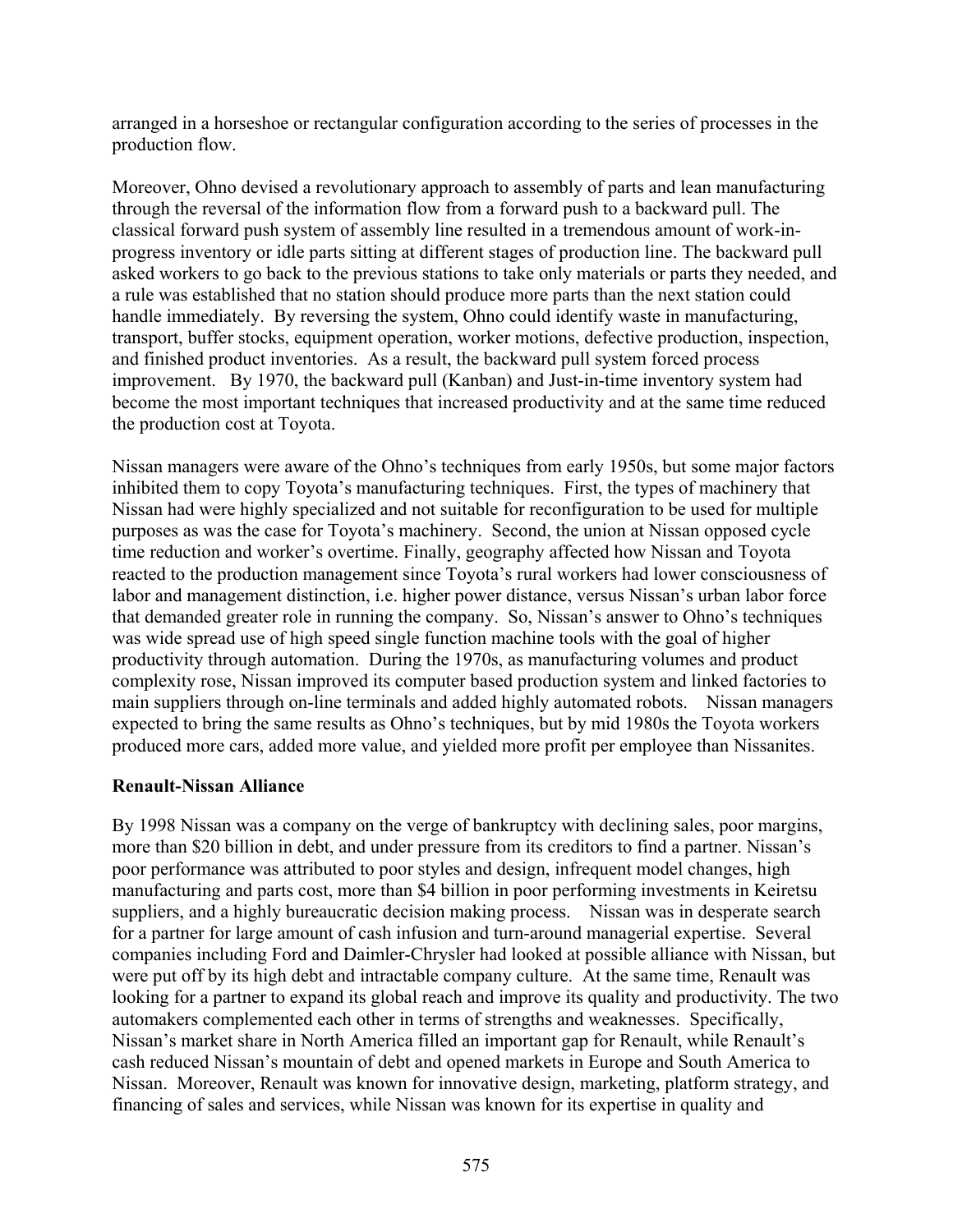arranged in a horseshoe or rectangular configuration according to the series of processes in the production flow.

Moreover, Ohno devised a revolutionary approach to assembly of parts and lean manufacturing through the reversal of the information flow from a forward push to a backward pull. The classical forward push system of assembly line resulted in a tremendous amount of work-inprogress inventory or idle parts sitting at different stages of production line. The backward pull asked workers to go back to the previous stations to take only materials or parts they needed, and a rule was established that no station should produce more parts than the next station could handle immediately. By reversing the system, Ohno could identify waste in manufacturing, transport, buffer stocks, equipment operation, worker motions, defective production, inspection, and finished product inventories. As a result, the backward pull system forced process improvement. By 1970, the backward pull (Kanban) and Just-in-time inventory system had become the most important techniques that increased productivity and at the same time reduced the production cost at Toyota.

Nissan managers were aware of the Ohno's techniques from early 1950s, but some major factors inhibited them to copy Toyota's manufacturing techniques. First, the types of machinery that Nissan had were highly specialized and not suitable for reconfiguration to be used for multiple purposes as was the case for Toyota's machinery. Second, the union at Nissan opposed cycle time reduction and worker's overtime. Finally, geography affected how Nissan and Toyota reacted to the production management since Toyota's rural workers had lower consciousness of labor and management distinction, i.e. higher power distance, versus Nissan's urban labor force that demanded greater role in running the company. So, Nissan's answer to Ohno's techniques was wide spread use of high speed single function machine tools with the goal of higher productivity through automation. During the 1970s, as manufacturing volumes and product complexity rose, Nissan improved its computer based production system and linked factories to main suppliers through on-line terminals and added highly automated robots. Nissan managers expected to bring the same results as Ohno's techniques, but by mid 1980s the Toyota workers produced more cars, added more value, and yielded more profit per employee than Nissanites.

### **Renault-Nissan Alliance**

By 1998 Nissan was a company on the verge of bankruptcy with declining sales, poor margins, more than \$20 billion in debt, and under pressure from its creditors to find a partner. Nissan's poor performance was attributed to poor styles and design, infrequent model changes, high manufacturing and parts cost, more than \$4 billion in poor performing investments in Keiretsu suppliers, and a highly bureaucratic decision making process. Nissan was in desperate search for a partner for large amount of cash infusion and turn-around managerial expertise. Several companies including Ford and Daimler-Chrysler had looked at possible alliance with Nissan, but were put off by its high debt and intractable company culture. At the same time, Renault was looking for a partner to expand its global reach and improve its quality and productivity. The two automakers complemented each other in terms of strengths and weaknesses. Specifically, Nissan's market share in North America filled an important gap for Renault, while Renault's cash reduced Nissan's mountain of debt and opened markets in Europe and South America to Nissan. Moreover, Renault was known for innovative design, marketing, platform strategy, and financing of sales and services, while Nissan was known for its expertise in quality and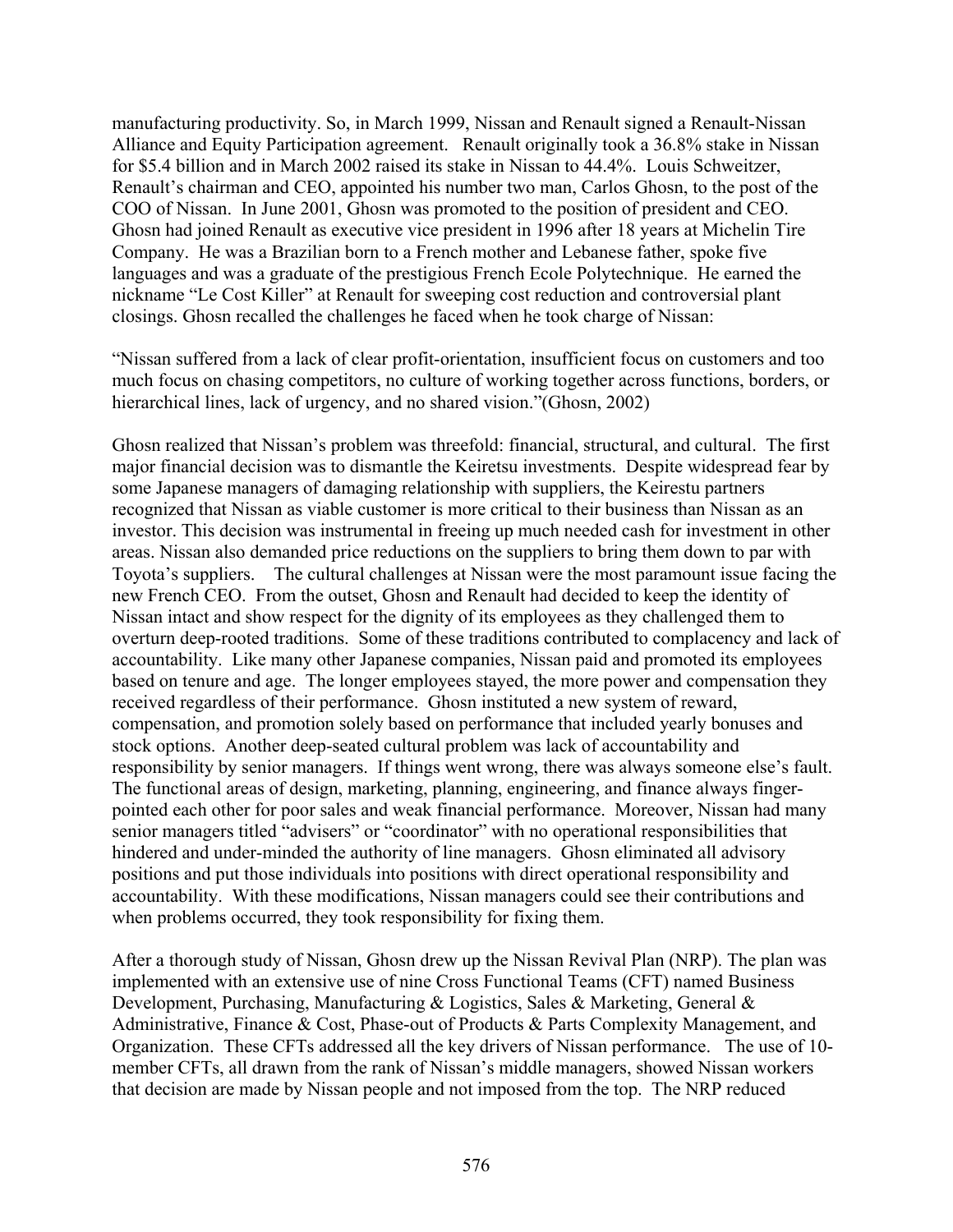manufacturing productivity. So, in March 1999, Nissan and Renault signed a Renault-Nissan Alliance and Equity Participation agreement. Renault originally took a 36.8% stake in Nissan for \$5.4 billion and in March 2002 raised its stake in Nissan to 44.4%. Louis Schweitzer, Renault's chairman and CEO, appointed his number two man, Carlos Ghosn, to the post of the COO of Nissan. In June 2001, Ghosn was promoted to the position of president and CEO. Ghosn had joined Renault as executive vice president in 1996 after 18 years at Michelin Tire Company. He was a Brazilian born to a French mother and Lebanese father, spoke five languages and was a graduate of the prestigious French Ecole Polytechnique. He earned the nickname "Le Cost Killer" at Renault for sweeping cost reduction and controversial plant closings. Ghosn recalled the challenges he faced when he took charge of Nissan:

"Nissan suffered from a lack of clear profit-orientation, insufficient focus on customers and too much focus on chasing competitors, no culture of working together across functions, borders, or hierarchical lines, lack of urgency, and no shared vision."(Ghosn, 2002)

Ghosn realized that Nissan's problem was threefold: financial, structural, and cultural. The first major financial decision was to dismantle the Keiretsu investments. Despite widespread fear by some Japanese managers of damaging relationship with suppliers, the Keirestu partners recognized that Nissan as viable customer is more critical to their business than Nissan as an investor. This decision was instrumental in freeing up much needed cash for investment in other areas. Nissan also demanded price reductions on the suppliers to bring them down to par with Toyota's suppliers. The cultural challenges at Nissan were the most paramount issue facing the new French CEO. From the outset, Ghosn and Renault had decided to keep the identity of Nissan intact and show respect for the dignity of its employees as they challenged them to overturn deep-rooted traditions. Some of these traditions contributed to complacency and lack of accountability. Like many other Japanese companies, Nissan paid and promoted its employees based on tenure and age. The longer employees stayed, the more power and compensation they received regardless of their performance. Ghosn instituted a new system of reward, compensation, and promotion solely based on performance that included yearly bonuses and stock options. Another deep-seated cultural problem was lack of accountability and responsibility by senior managers. If things went wrong, there was always someone else's fault. The functional areas of design, marketing, planning, engineering, and finance always fingerpointed each other for poor sales and weak financial performance. Moreover, Nissan had many senior managers titled "advisers" or "coordinator" with no operational responsibilities that hindered and under-minded the authority of line managers. Ghosn eliminated all advisory positions and put those individuals into positions with direct operational responsibility and accountability. With these modifications, Nissan managers could see their contributions and when problems occurred, they took responsibility for fixing them.

After a thorough study of Nissan, Ghosn drew up the Nissan Revival Plan (NRP). The plan was implemented with an extensive use of nine Cross Functional Teams (CFT) named Business Development, Purchasing, Manufacturing & Logistics, Sales & Marketing, General & Administrative, Finance & Cost, Phase-out of Products & Parts Complexity Management, and Organization. These CFTs addressed all the key drivers of Nissan performance. The use of 10 member CFTs, all drawn from the rank of Nissan's middle managers, showed Nissan workers that decision are made by Nissan people and not imposed from the top. The NRP reduced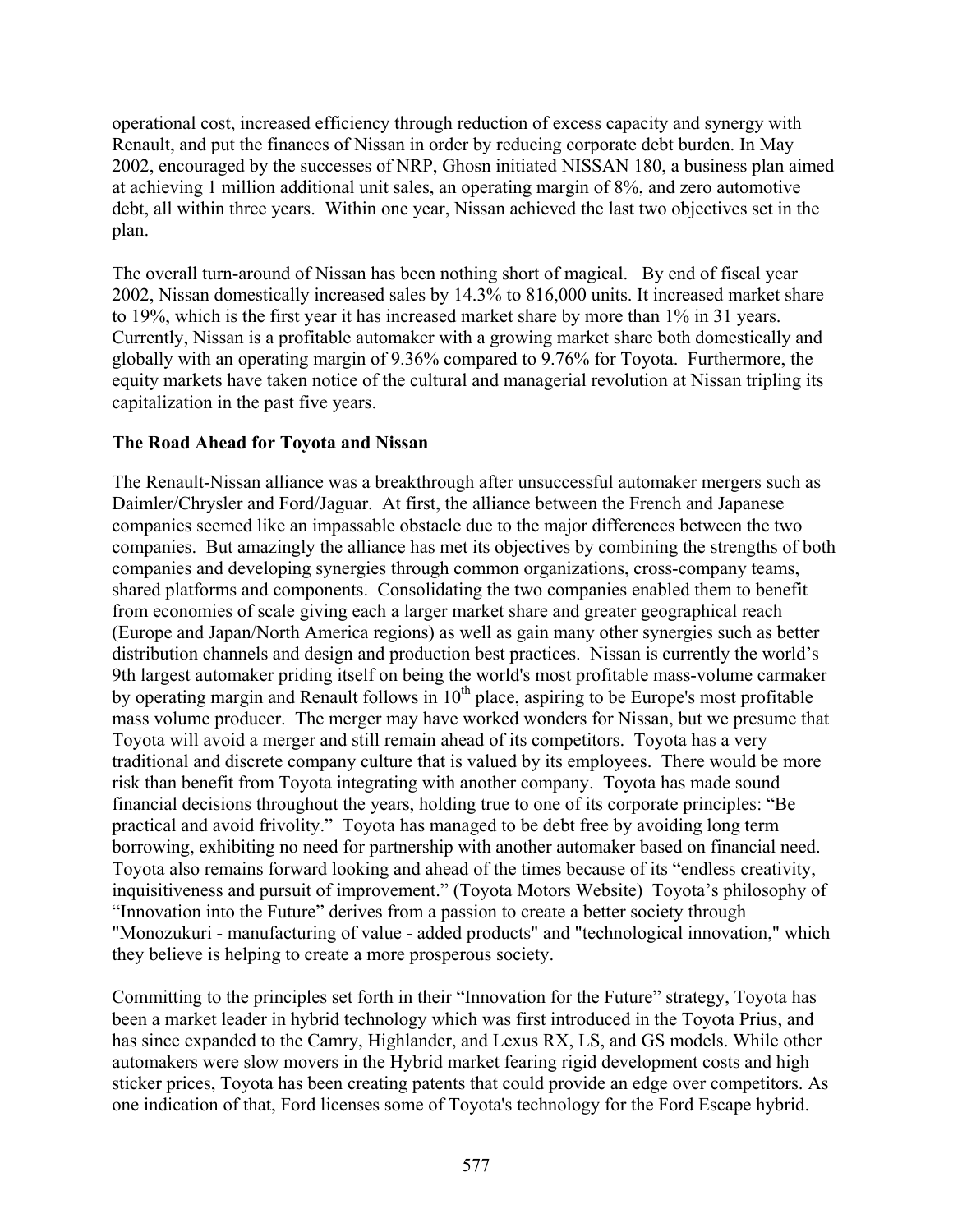operational cost, increased efficiency through reduction of excess capacity and synergy with Renault, and put the finances of Nissan in order by reducing corporate debt burden. In May 2002, encouraged by the successes of NRP, Ghosn initiated NISSAN 180, a business plan aimed at achieving 1 million additional unit sales, an operating margin of 8%, and zero automotive debt, all within three years. Within one year, Nissan achieved the last two objectives set in the plan.

The overall turn-around of Nissan has been nothing short of magical. By end of fiscal year 2002, Nissan domestically increased sales by 14.3% to 816,000 units. It increased market share to 19%, which is the first year it has increased market share by more than 1% in 31 years. Currently, Nissan is a profitable automaker with a growing market share both domestically and globally with an operating margin of 9.36% compared to 9.76% for Toyota. Furthermore, the equity markets have taken notice of the cultural and managerial revolution at Nissan tripling its capitalization in the past five years.

### **The Road Ahead for Toyota and Nissan**

The Renault-Nissan alliance was a breakthrough after unsuccessful automaker mergers such as Daimler/Chrysler and Ford/Jaguar. At first, the alliance between the French and Japanese companies seemed like an impassable obstacle due to the major differences between the two companies. But amazingly the alliance has met its objectives by combining the strengths of both companies and developing synergies through common organizations, cross-company teams, shared platforms and components. Consolidating the two companies enabled them to benefit from economies of scale giving each a larger market share and greater geographical reach (Europe and Japan/North America regions) as well as gain many other synergies such as better distribution channels and design and production best practices. Nissan is currently the world's 9th largest automaker priding itself on being the world's most profitable mass-volume carmaker by operating margin and Renault follows in  $10<sup>th</sup>$  place, aspiring to be Europe's most profitable mass volume producer. The merger may have worked wonders for Nissan, but we presume that Toyota will avoid a merger and still remain ahead of its competitors. Toyota has a very traditional and discrete company culture that is valued by its employees. There would be more risk than benefit from Toyota integrating with another company. Toyota has made sound financial decisions throughout the years, holding true to one of its corporate principles: "Be practical and avoid frivolity." Toyota has managed to be debt free by avoiding long term borrowing, exhibiting no need for partnership with another automaker based on financial need. Toyota also remains forward looking and ahead of the times because of its "endless creativity, inquisitiveness and pursuit of improvement." (Toyota Motors Website) Toyota's philosophy of "Innovation into the Future" derives from a passion to create a better society through "Monozukuri - manufacturing of value - added products" and "technological innovation," which they believe is helping to create a more prosperous society.

Committing to the principles set forth in their "Innovation for the Future" strategy, Toyota has been a market leader in hybrid technology which was first introduced in the Toyota Prius, and has since expanded to the Camry, Highlander, and Lexus RX, LS, and GS models. While other automakers were slow movers in the Hybrid market fearing rigid development costs and high sticker prices, Toyota has been creating patents that could provide an edge over competitors. As one indication of that, Ford licenses some of Toyota's technology for the Ford Escape hybrid.